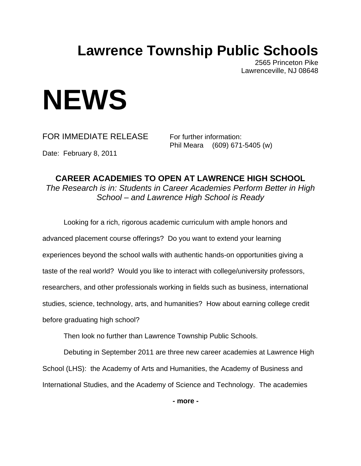# **Lawrence Township Public Schools**

2565 Princeton Pike Lawrenceville, NJ 08648

# **NEWS**

FOR IMMEDIATE RELEASE For further information:

Phil Meara (609) 671-5405 (w)

Date: February 8, 2011

**CAREER ACADEMIES TO OPEN AT LAWRENCE HIGH SCHOOL**  *The Research is in: Students in Career Academies Perform Better in High School – and Lawrence High School is Ready*

 Looking for a rich, rigorous academic curriculum with ample honors and advanced placement course offerings? Do you want to extend your learning experiences beyond the school walls with authentic hands-on opportunities giving a taste of the real world? Would you like to interact with college/university professors, researchers, and other professionals working in fields such as business, international studies, science, technology, arts, and humanities? How about earning college credit before graduating high school?

Then look no further than Lawrence Township Public Schools.

 Debuting in September 2011 are three new career academies at Lawrence High School (LHS): the Academy of Arts and Humanities, the Academy of Business and International Studies, and the Academy of Science and Technology. The academies

**- more -**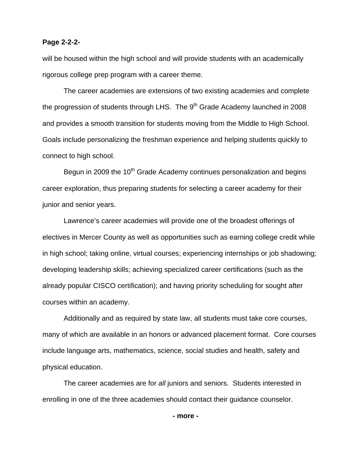## **Page 2-2-2-**

will be housed within the high school and will provide students with an academically rigorous college prep program with a career theme.

The career academies are extensions of two existing academies and complete the progression of students through LHS. The  $9<sup>th</sup>$  Grade Academy launched in 2008 and provides a smooth transition for students moving from the Middle to High School. Goals include personalizing the freshman experience and helping students quickly to connect to high school.

Begun in 2009 the 10<sup>th</sup> Grade Academy continues personalization and begins career exploration, thus preparing students for selecting a career academy for their junior and senior years.

Lawrence's career academies will provide one of the broadest offerings of electives in Mercer County as well as opportunities such as earning college credit while in high school; taking online, virtual courses; experiencing internships or job shadowing; developing leadership skills; achieving specialized career certifications (such as the already popular CISCO certification); and having priority scheduling for sought after courses within an academy.

Additionally and as required by state law, all students must take core courses, many of which are available in an honors or advanced placement format. Core courses include language arts, mathematics, science, social studies and health, safety and physical education.

The career academies are for *all* juniors and seniors. Students interested in enrolling in one of the three academies should contact their guidance counselor.

**- more -**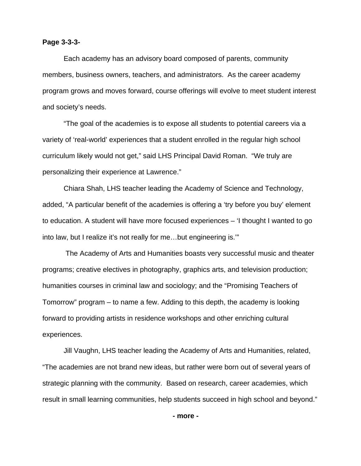### **Page 3-3-3-**

Each academy has an advisory board composed of parents, community members, business owners, teachers, and administrators. As the career academy program grows and moves forward, course offerings will evolve to meet student interest and society's needs.

"The goal of the academies is to expose all students to potential careers via a variety of 'real-world' experiences that a student enrolled in the regular high school curriculum likely would not get," said LHS Principal David Roman. "We truly are personalizing their experience at Lawrence."

 Chiara Shah, LHS teacher leading the Academy of Science and Technology, added, "A particular benefit of the academies is offering a 'try before you buy' element to education. A student will have more focused experiences – 'I thought I wanted to go into law, but I realize it's not really for me…but engineering is.'"

 The Academy of Arts and Humanities boasts very successful music and theater programs; creative electives in photography, graphics arts, and television production; humanities courses in criminal law and sociology; and the "Promising Teachers of Tomorrow" program – to name a few. Adding to this depth, the academy is looking forward to providing artists in residence workshops and other enriching cultural experiences.

Jill Vaughn, LHS teacher leading the Academy of Arts and Humanities, related, "The academies are not brand new ideas, but rather were born out of several years of strategic planning with the community. Based on research, career academies, which result in small learning communities, help students succeed in high school and beyond."

**- more -**